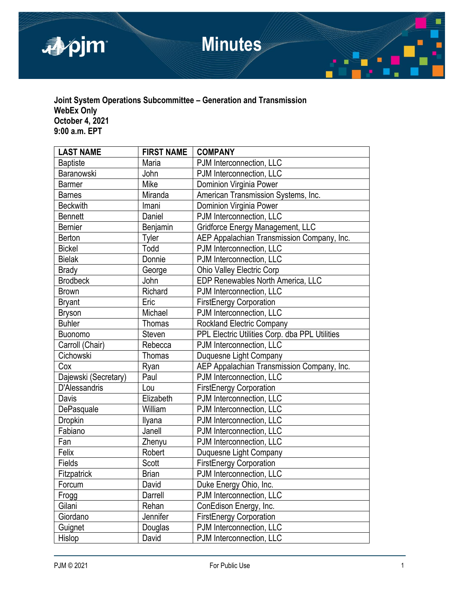

## **Joint System Operations Subcommittee – Generation and Transmission WebEx Only October 4, 2021 9:00 a.m. EPT**

| <b>LAST NAME</b>     | <b>FIRST NAME</b> | <b>COMPANY</b>                                 |
|----------------------|-------------------|------------------------------------------------|
| <b>Baptiste</b>      | Maria             | PJM Interconnection, LLC                       |
| Baranowski           | John              | PJM Interconnection, LLC                       |
| <b>Barmer</b>        | Mike              | Dominion Virginia Power                        |
| <b>Barnes</b>        | Miranda           | American Transmission Systems, Inc.            |
| <b>Beckwith</b>      | Imani             | Dominion Virginia Power                        |
| <b>Bennett</b>       | Daniel            | PJM Interconnection, LLC                       |
| <b>Bernier</b>       | Benjamin          | Gridforce Energy Management, LLC               |
| Berton               | Tyler             | AEP Appalachian Transmission Company, Inc.     |
| <b>Bickel</b>        | Todd              | PJM Interconnection, LLC                       |
| <b>Bielak</b>        | Donnie            | PJM Interconnection, LLC                       |
| <b>Brady</b>         | George            | Ohio Valley Electric Corp                      |
| <b>Brodbeck</b>      | John              | EDP Renewables North America, LLC              |
| <b>Brown</b>         | Richard           | PJM Interconnection, LLC                       |
| <b>Bryant</b>        | Eric              | <b>FirstEnergy Corporation</b>                 |
| <b>Bryson</b>        | Michael           | PJM Interconnection, LLC                       |
| <b>Buhler</b>        | <b>Thomas</b>     | <b>Rockland Electric Company</b>               |
| <b>Buonomo</b>       | Steven            | PPL Electric Utilities Corp. dba PPL Utilities |
| Carroll (Chair)      | Rebecca           | PJM Interconnection, LLC                       |
| Cichowski            | <b>Thomas</b>     | Duquesne Light Company                         |
| Cox                  | Ryan              | AEP Appalachian Transmission Company, Inc.     |
| Dajewski (Secretary) | Paul              | PJM Interconnection, LLC                       |
| <b>D'Alessandris</b> | Lou               | <b>FirstEnergy Corporation</b>                 |
| Davis                | Elizabeth         | PJM Interconnection, LLC                       |
| DePasquale           | William           | PJM Interconnection, LLC                       |
| <b>Dropkin</b>       | Ilyana            | PJM Interconnection, LLC                       |
| Fabiano              | Janell            | PJM Interconnection, LLC                       |
| Fan                  | Zhenyu            | PJM Interconnection, LLC                       |
| Felix                | Robert            | Duquesne Light Company                         |
| Fields               | Scott             | <b>FirstEnergy Corporation</b>                 |
| Fitzpatrick          | <b>Brian</b>      | PJM Interconnection, LLC                       |
| Forcum               | David             | Duke Energy Ohio, Inc.                         |
| Frogg                | Darrell           | PJM Interconnection, LLC                       |
| Gilani               | Rehan             | ConEdison Energy, Inc.                         |
| Giordano             | Jennifer          | <b>FirstEnergy Corporation</b>                 |
| Guignet              | Douglas           | PJM Interconnection, LLC                       |
| Hislop               | David             | PJM Interconnection, LLC                       |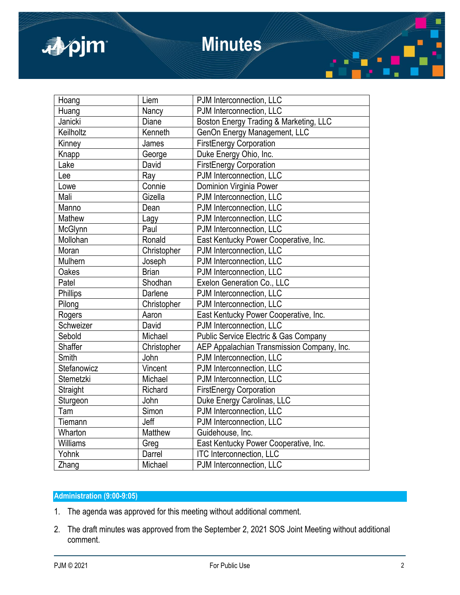

# **Minutes**

| Hoang           | Liem         | PJM Interconnection, LLC                   |
|-----------------|--------------|--------------------------------------------|
| Huang           | Nancy        | PJM Interconnection, LLC                   |
| Janicki         | Diane        | Boston Energy Trading & Marketing, LLC     |
| Keilholtz       | Kenneth      | GenOn Energy Management, LLC               |
| Kinney          | James        | <b>FirstEnergy Corporation</b>             |
| Knapp           | George       | Duke Energy Ohio, Inc.                     |
| Lake            | David        | <b>FirstEnergy Corporation</b>             |
| Lee             | Ray          | PJM Interconnection, LLC                   |
| Lowe            | Connie       | Dominion Virginia Power                    |
| Mali            | Gizella      | PJM Interconnection, LLC                   |
| Manno           | Dean         | PJM Interconnection, LLC                   |
| Mathew          | Lagy         | PJM Interconnection, LLC                   |
| McGlynn         | Paul         | PJM Interconnection, LLC                   |
| Mollohan        | Ronald       | East Kentucky Power Cooperative, Inc.      |
| Moran           | Christopher  | PJM Interconnection, LLC                   |
| Mulhern         | Joseph       | PJM Interconnection, LLC                   |
| Oakes           | <b>Brian</b> | PJM Interconnection, LLC                   |
| Patel           | Shodhan      | Exelon Generation Co., LLC                 |
| <b>Phillips</b> | Darlene      | PJM Interconnection, LLC                   |
| Pilong          | Christopher  | PJM Interconnection, LLC                   |
| Rogers          | Aaron        | East Kentucky Power Cooperative, Inc.      |
| Schweizer       | David        | PJM Interconnection, LLC                   |
| Sebold          | Michael      | Public Service Electric & Gas Company      |
| <b>Shaffer</b>  | Christopher  | AEP Appalachian Transmission Company, Inc. |
| Smith           | John         | PJM Interconnection, LLC                   |
| Stefanowicz     | Vincent      | PJM Interconnection, LLC                   |
| Stemetzki       | Michael      | PJM Interconnection, LLC                   |
| Straight        | Richard      | <b>FirstEnergy Corporation</b>             |
| Sturgeon        | John         | Duke Energy Carolinas, LLC                 |
| Tam             | Simon        | PJM Interconnection, LLC                   |
| Tiemann         | Jeff         | PJM Interconnection, LLC                   |
| Wharton         | Matthew      | Guidehouse, Inc.                           |
| Williams        | Greg         | East Kentucky Power Cooperative, Inc.      |
| Yohnk           | Darrel       | <b>ITC Interconnection, LLC</b>            |
| Zhang           | Michael      | PJM Interconnection, LLC                   |
|                 |              |                                            |

## **Administration (9:00-9:05)**

- 1. The agenda was approved for this meeting without additional comment.
- 2. The draft minutes was approved from the September 2, 2021 SOS Joint Meeting without additional comment.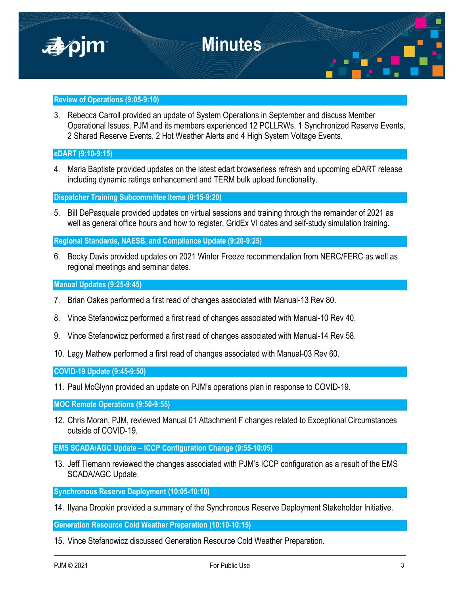

### **Review of Operations (9:05-9:10)**

3. Rebecca Carroll provided an update of System Operations in September and discuss Member Operational Issues. PJM and its members experienced 12 PCLLRWs, 1 Synchronized Reserve Events, 2 Shared Reserve Events, 2 Hot Weather Alerts and 4 High System Voltage Events.

**eDART (9:10-9:15)**

4. Maria Baptiste provided updates on the latest edart browserless refresh and upcoming eDART release including dynamic ratings enhancement and TERM bulk upload functionality.

**Dispatcher Training Subcommittee Items (9:15-9:20)**

5. Bill DePasquale provided updates on virtual sessions and training through the remainder of 2021 as well as general office hours and how to register, GridEx VI dates and self-study simulation training.

**Regional Standards, NAESB, and Compliance Update (9:20-9:25)**

6. Becky Davis provided updates on 2021 Winter Freeze recommendation from NERC/FERC as well as regional meetings and seminar dates.

**Manual Updates (9:25-9:45)**

- 7. Brian Oakes performed a first read of changes associated with Manual-13 Rev 80.
- 8. Vince Stefanowicz performed a first read of changes associated with Manual-10 Rev 40.
- 9. Vince Stefanowicz performed a first read of changes associated with Manual-14 Rev 58.
- 10. Lagy Mathew performed a first read of changes associated with Manual-03 Rev 60.

**COVID-19 Update (9:45-9:50)**

11. Paul McGlynn provided an update on PJM's operations plan in response to COVID-19.

**MOC Remote Operations (9:50-9:55)**

12. Chris Moran, PJM, reviewed Manual 01 Attachment F changes related to Exceptional Circumstances outside of COVID-19.

**EMS SCADA/AGC Update – ICCP Configuration Change (9:55-10:05)**

13. Jeff Tiemann reviewed the changes associated with PJM's ICCP configuration as a result of the EMS SCADA/AGC Update.

**Synchronous Reserve Deployment (10:05-10:10)**

14. Ilyana Dropkin provided a summary of the Synchronous Reserve Deployment Stakeholder Initiative.

**Generation Resource Cold Weather Preparation (10:10-10:15)**

15. Vince Stefanowicz discussed Generation Resource Cold Weather Preparation.